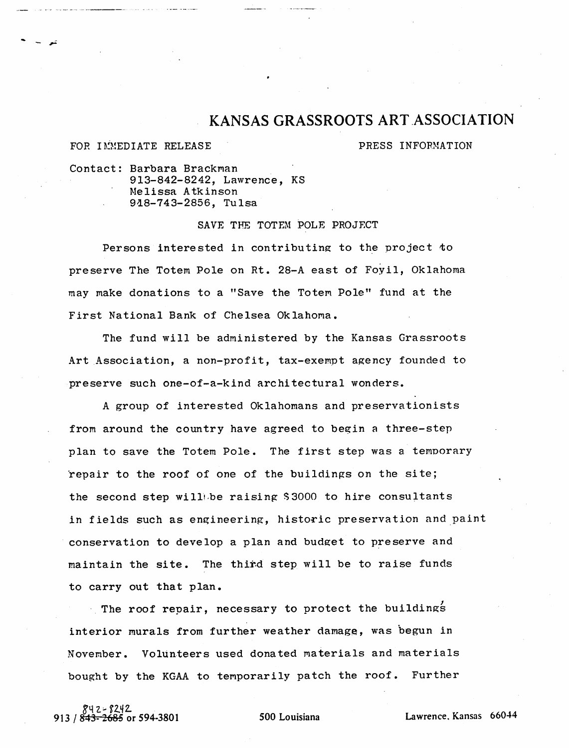## KANSAS GRASSROOTS ART ASSOCIATION

## FOR IMMEDIATE RELEASE THE RESERVIEW PRESS INFORMATION

Contact: Barbara Brackman 913-842-8242, Lawrence, KS Melissa Atkinson 948-743-2856, Tulsa

## SAVE THE TOTEM POLE PROJECT

Persons interested in contributing to the project to preserve The Totem Pole on Rt. 28-A east of Foyil, Oklahoma may make donations to a "Save the Totem Pole" fund at the First National Bank of Chelsea Oklahoma.

The fund will be administered by the Kansas Grassroots Art Association, a non-profit, tax-exempt agency founded to preserve such one-of-a-kind architectural wonders.

A group of interested Oklahomans and preservationists from around the country have agreed to begin a three-step plan to save the Totem Pole. The first step was a temporary repair to the roof of one of the buildings on the site; the second step will be raising \$3000 to hire consultants in fields such as engineering, historic preservation and paint conservation to develop a plan and budget to preserve and maintain the site. The third step will be to raise funds to carry out that plan.

The roof repair, necessary to protect the buildings interior murals from further weather damage, was begun in November. Volunteers used donated materials and materials bought by the KGAA to temporarily patch the roof. Further

842 - 8242<br>913 / 843-2685 or 594-3801 500 Louisiana Lawrence, Kansas 66044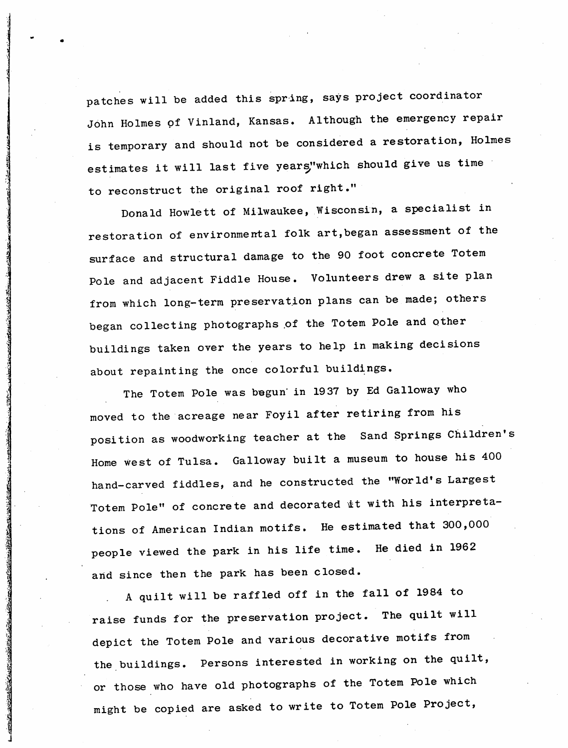patches will be added this spring, says project coordinator John Holmes of Vinland, Kansas. Although the emergency repair is temporary and should not be considered a restoration, Holmes estimates it will last five years,"which should give us time to reconstruct the original roof right."

Donald Howiett of Milwaukee, Wisconsin, a specialist in restoration of environmental folk art,began assessment of the surface and structural damage to the 90 foot concrete Totem Pole and adjacent Fiddle House. Volunteers drew a site plan from which long-term preservation plans can be made; others began collecting photographs of the Totem Pole and other buildings taken over the years to help in making decisions about repainting the once colorful buildings.

The Totem Pole was begun in 1937 by Ed Galloway who moved to the acreage near Foyil after retiring from his position as woodworking teacher at the Sand Springs Children's Home west of Tulsa. Galloway built a museum to house his 400 hand-carved fiddles, and he constructed the "World's Largest Totem Pole" of concrete and decorated it with his interpreta tions of American Indian motifs. He estimated that 300,000 people viewed the park in his life time. He died in 1962 and since then the park has been closed.

A quilt will be raffled off in the fall of 1984 to raise funds for the preservation project. The quilt will depict the Totem Pole and various decorative motifs from the buildings. Persons interested in working on the quilt, or those who have old photographs of the Totem Pole which might be copied are asked to write to Totem Pole Project,